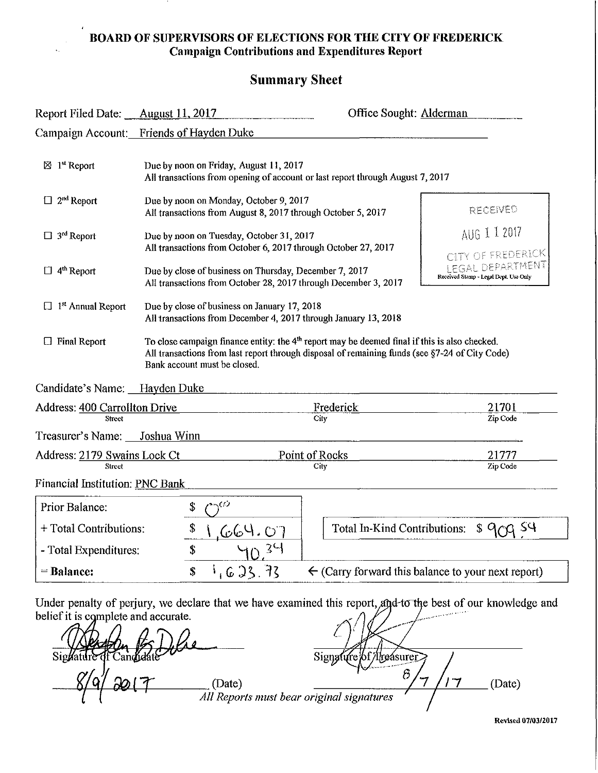#### **BOARD OF SUPERVISORS OF ELECTIONS FOR THE CITY OF FREDERICK Campaign Contributions and Expenditures Report**

# **Summary Sheet**

| Report Filed Date: August 11, 2017                                     |                                                                                                                           | Office Sought: Alderman                                                                                                                                                                                     |                                                                 |
|------------------------------------------------------------------------|---------------------------------------------------------------------------------------------------------------------------|-------------------------------------------------------------------------------------------------------------------------------------------------------------------------------------------------------------|-----------------------------------------------------------------|
|                                                                        | Campaign Account: Friends of Hayden Duke                                                                                  |                                                                                                                                                                                                             |                                                                 |
| $\boxtimes$ 1 <sup>st</sup> Report                                     | Due by noon on Friday, August 11, 2017                                                                                    | All transactions from opening of account or last report through August 7, 2017                                                                                                                              |                                                                 |
| $\Box$ 2 <sup>nd</sup> Report                                          | Due by noon on Monday, October 9, 2017                                                                                    | All transactions from August 8, 2017 through October 5, 2017                                                                                                                                                | RECEIVED                                                        |
| $\Box$ 3 <sup>rd</sup> Report                                          | Due by noon on Tuesday, October 31, 2017                                                                                  | All transactions from October 6, 2017 through October 27, 2017                                                                                                                                              | AUG 1 1 2017<br>CITY OF FREDERICK                               |
| $\Box$ 4 <sup>th</sup> Report                                          | Due by close of business on Thursday, December 7, 2017<br>All transactions from October 28, 2017 through December 3, 2017 |                                                                                                                                                                                                             | <b>EGAL DEPARTMENT</b><br>Received Stamp - Legal Dept. Use Only |
|                                                                        |                                                                                                                           |                                                                                                                                                                                                             |                                                                 |
| $\Box$ 1 <sup>st</sup> Annual Report                                   | Due by close of business on January 17, 2018                                                                              | All transactions from December 4, 2017 through January 13, 2018                                                                                                                                             |                                                                 |
| $\Box$ Final Report                                                    | Bank account must be closed.                                                                                              | To close campaign finance entity: the 4 <sup>th</sup> report may be deemed final if this is also checked.<br>All transactions from last report through disposal of remaining funds (see §7-24 of City Code) |                                                                 |
| Candidate's Name: Hayden Duke                                          |                                                                                                                           |                                                                                                                                                                                                             |                                                                 |
| <b>Address: 400 Carrollton Drive</b>                                   |                                                                                                                           | Frederick                                                                                                                                                                                                   | 21701                                                           |
| <b>Street</b><br>Treasurer's Name: Joshua Winn                         |                                                                                                                           | City                                                                                                                                                                                                        | Zip Code                                                        |
| Street                                                                 |                                                                                                                           | Point of Rocks                                                                                                                                                                                              | 21777                                                           |
| Address: 2179 Swains Lock Ct<br><b>Financial Institution: PNC Bank</b> |                                                                                                                           | City                                                                                                                                                                                                        | Zip Code                                                        |
| Prior Balance:                                                         | ヽくつ<br>\$                                                                                                                 |                                                                                                                                                                                                             |                                                                 |
| + Total Contributions:                                                 | \$<br><u>IGG4.07</u>                                                                                                      | Total In-Kind Contributions:                                                                                                                                                                                | : SY<br>$\mathcal S$ a                                          |
| - Total Expenditures:                                                  | \$                                                                                                                        |                                                                                                                                                                                                             |                                                                 |

Under penalty of perjury, we declare that we have examined this report, and to the best of our knowledge and belief it is complete and accurate.

 $\sim$ Signatu Signalitie of Candidate 200 - Signalitie of The asurer<br>
Signalitie of The asurer<br>
Signalitie of The asurer and Signalities 8/7/17 (Date)

**Rc"\iseil 0710312017**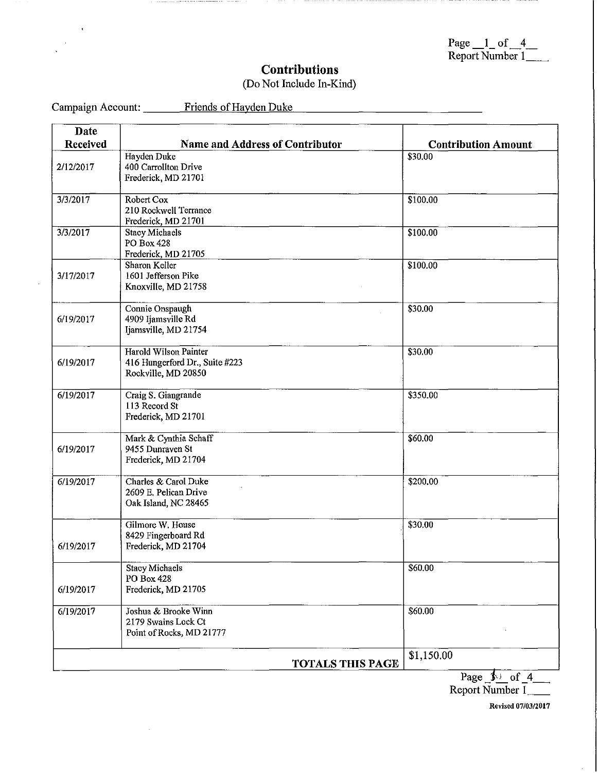| Page $\_\$ of 4 |  |  |
|-----------------|--|--|
| Report Number 1 |  |  |

# **Contributions**

# (Do Not Include In-Kind)

Campaign Account: Friends of Hayden Duke

 $\bar{z}$ 

 $\hat{\boldsymbol{\beta}}$ 

| Date      |                                         |                            |
|-----------|-----------------------------------------|----------------------------|
| Received  | <b>Name and Address of Contributor</b>  | <b>Contribution Amount</b> |
|           | Hayden Duke                             | \$30.00                    |
| 2/12/2017 | 400 Carrollton Drive                    |                            |
|           | Frederick, MD 21701                     |                            |
| 3/3/2017  | Robert Cox                              | \$100.00                   |
|           | 210 Rockwell Terrance                   |                            |
|           | Frederick, MD 21701                     |                            |
| 3/3/2017  | <b>Stacy Michaels</b>                   | \$100.00                   |
|           | <b>PO Box 428</b>                       |                            |
|           | Frederick, MD 21705<br>Sharon Keller    | \$100.00                   |
| 3/17/2017 | 1601 Jefferson Pike                     |                            |
|           | Knoxville, MD 21758                     |                            |
|           |                                         |                            |
|           | Connie Onspaugh                         | \$30.00                    |
| 6/19/2017 | 4909 Ijamsville Rd                      |                            |
|           | Ijamsville, MD 21754                    |                            |
|           | Harold Wilson Painter                   | \$30.00                    |
| 6/19/2017 | 416 Hungerford Dr., Suite #223          |                            |
|           | Rockville, MD 20850                     |                            |
| 6/19/2017 |                                         | \$350.00                   |
|           | Craig S. Giangrande<br>113 Record St    |                            |
|           | Frederick, MD 21701                     |                            |
|           |                                         |                            |
|           | Mark & Cynthia Schaff                   | \$60.00                    |
| 6/19/2017 | 9455 Dunraven St<br>Frederick, MD 21704 |                            |
|           |                                         |                            |
| 6/19/2017 | Charles & Carol Duke                    | \$200.00                   |
|           | 2609 E. Pelican Drive                   |                            |
|           | Oak Island, NC 28465                    |                            |
|           | Gilmore W. House                        | \$30.00                    |
|           | 8429 Fingerboard Rd                     |                            |
| 6/19/2017 | Frederick, MD 21704                     |                            |
|           |                                         |                            |
|           | <b>Stacy Michaels</b><br>PO Box 428     | \$60.00                    |
| 6/19/2017 | Frederick, MD 21705                     |                            |
|           |                                         |                            |
| 6/19/2017 | Joshua & Brooke Winn                    | \$60.00                    |
|           | 2179 Swains Lock Ct                     |                            |
|           | Point of Rocks, MD 21777                |                            |
|           |                                         | \$1,150.00                 |
|           | <b>TOTALS THIS PAGE</b>                 |                            |

Page  $\frac{1}{\sqrt{1-\frac{4}{1-\frac{4}{1-\cdots}}}}$ 

**Revised 07/03/2017**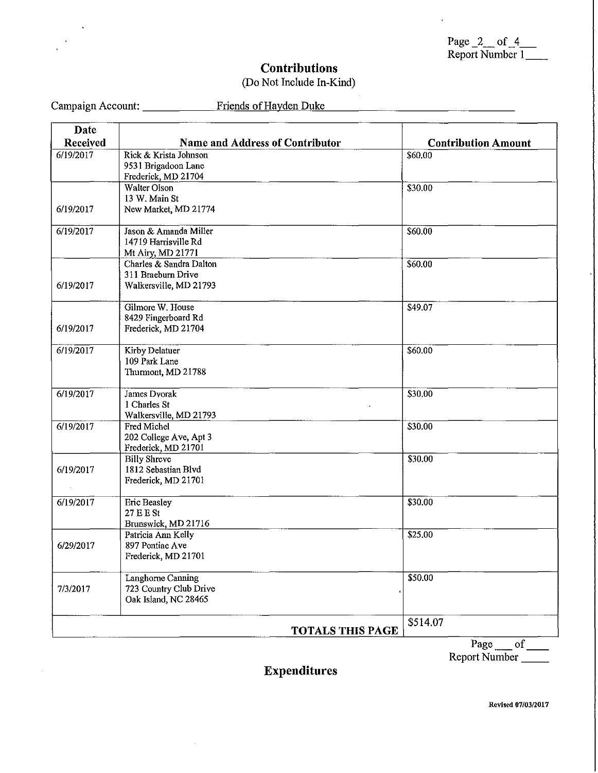| Page $2$ of $4$ |  |  |
|-----------------|--|--|
| Report Number 1 |  |  |

 $\ddot{\phantom{a}}$ 

### **Contributions**

#### (Do Not Include In-Kind)

Campaign Account: \_\_\_\_\_\_\_\_\_\_\_\_ Friends of Hayden Duke

| Date      |                                                |                            |
|-----------|------------------------------------------------|----------------------------|
| Received  | <b>Name and Address of Contributor</b>         | <b>Contribution Amount</b> |
| 6/19/2017 | Rick & Krista Johnson                          | \$60.00                    |
|           | 9531 Brigadoon Lane<br>Frederick, MD 21704     |                            |
|           | <b>Walter Olson</b>                            | \$30.00                    |
|           | 13 W. Main St                                  |                            |
| 6/19/2017 | New Market, MD 21774                           |                            |
| 6/19/2017 | Jason & Amanda Miller                          | \$60.00                    |
|           | 14719 Harrisville Rd                           |                            |
|           | Mt Airy, MD 21771<br>Charles & Sandra Dalton   |                            |
|           | 311 Braeburn Drive                             | \$60.00                    |
| 6/19/2017 | Walkersville, MD 21793                         |                            |
|           |                                                |                            |
|           | Gilmore W. House                               | \$49.07                    |
| 6/19/2017 | 8429 Fingerboard Rd<br>Frederick, MD 21704     |                            |
|           |                                                |                            |
| 6/19/2017 | Kirby Delatuer                                 | \$60.00                    |
|           | 109 Park Lane                                  |                            |
|           | Thurmont, MD 21788                             |                            |
| 6/19/2017 | James Dvorak                                   | \$30.00                    |
|           | 1 Charles St                                   |                            |
|           | Walkersville, MD 21793                         |                            |
| 6/19/2017 | Fred Michel<br>202 College Ave, Apt 3          | \$30.00                    |
|           | Frederick, MD 21701                            |                            |
|           | <b>Billy Shreve</b>                            | \$30.00                    |
| 6/19/2017 | 1812 Sebastian Blvd                            |                            |
|           | Frederick, MD 21701                            |                            |
| 6/19/2017 | <b>Eric Beasley</b>                            | \$30.00                    |
|           | $27E$ B St                                     |                            |
|           | Brunswick, MD 21716                            |                            |
| 6/29/2017 | Patricia Ann Kelly<br>897 Pontiac Ave          | \$25.00                    |
|           | Frederick, MD 21701                            |                            |
|           |                                                |                            |
|           | Langhorne Canning                              | \$50.00                    |
| 7/3/2017  | 723 Country Club Drive<br>Oak Island, NC 28465 |                            |
|           |                                                |                            |
|           |                                                | \$514.07                   |
|           | <b>TOTALS THIS PAGE</b>                        |                            |

# **Expenditures**

**Revised 07103/2017**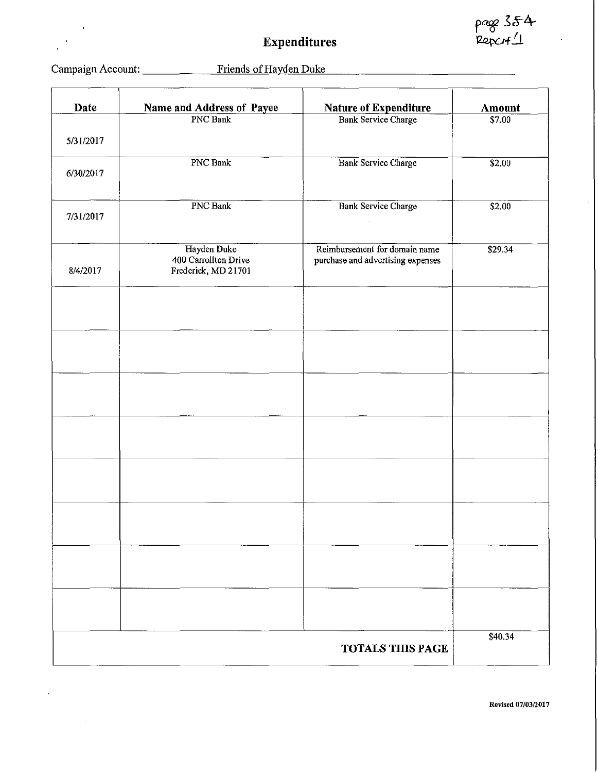page 354<br>Report1

L,

# **Expenditures**

 $\ddot{\phantom{0}}$ 

 $\ddot{\phantom{0}}$  $\ddot{\phantom{a}}$ 

 $\hat{\boldsymbol{\theta}}$ 

 $\bar{\gamma}$ 

# Campaign Account: \_\_\_\_\_\_\_\_\_ Friends of Hayden Duke

| Date      | Name and Address of Payee                                  | <b>Nature of Expenditure</b>                                       | <b>Amount</b> |
|-----------|------------------------------------------------------------|--------------------------------------------------------------------|---------------|
| 5/31/2017 | PNC Bank                                                   | <b>Bank Service Charge</b>                                         | S7.00         |
|           | PNC Bank                                                   | <b>Bank Service Charge</b>                                         | \$2.00        |
| 6/30/2017 |                                                            |                                                                    |               |
| 7/31/2017 | <b>PNC Bank</b>                                            | <b>Bank Service Charge</b>                                         | \$2.00        |
| 8/4/2017  | Hayden Duke<br>400 Carrollton Drive<br>Frederick, MD 21701 | Reimbursement for domain name<br>purchase and advertising expenses | \$29.34       |
|           |                                                            |                                                                    |               |
|           |                                                            |                                                                    |               |
|           |                                                            |                                                                    |               |
|           |                                                            |                                                                    |               |
|           |                                                            |                                                                    |               |
|           |                                                            |                                                                    |               |
|           |                                                            |                                                                    |               |
|           |                                                            |                                                                    |               |
|           |                                                            | <b>TOTALS THIS PAGE</b>                                            | \$40.34       |